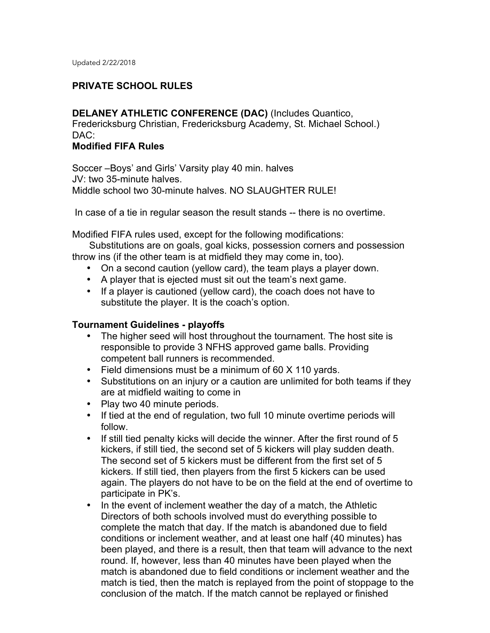## **PRIVATE SCHOOL RULES**

**DELANEY ATHLETIC CONFERENCE (DAC)** (Includes Quantico, Fredericksburg Christian, Fredericksburg Academy, St. Michael School.) DAC:

## **Modified FIFA Rules**

Soccer –Boys' and Girls' Varsity play 40 min. halves JV: two 35-minute halves. Middle school two 30-minute halves. NO SLAUGHTER RULE!

In case of a tie in regular season the result stands -- there is no overtime.

Modified FIFA rules used, except for the following modifications:

Substitutions are on goals, goal kicks, possession corners and possession throw ins (if the other team is at midfield they may come in, too).

- On a second caution (yellow card), the team plays a player down.
- A player that is ejected must sit out the team's next game.
- If a player is cautioned (yellow card), the coach does not have to substitute the player. It is the coach's option.

#### **Tournament Guidelines - playoffs**

- The higher seed will host throughout the tournament. The host site is responsible to provide 3 NFHS approved game balls. Providing competent ball runners is recommended.
- Field dimensions must be a minimum of 60 X 110 yards.
- Substitutions on an injury or a caution are unlimited for both teams if they are at midfield waiting to come in
- Play two 40 minute periods.
- If tied at the end of regulation, two full 10 minute overtime periods will follow.
- If still tied penalty kicks will decide the winner. After the first round of 5 kickers, if still tied, the second set of 5 kickers will play sudden death. The second set of 5 kickers must be different from the first set of 5 kickers. If still tied, then players from the first 5 kickers can be used again. The players do not have to be on the field at the end of overtime to participate in PK's.
- In the event of inclement weather the day of a match, the Athletic Directors of both schools involved must do everything possible to complete the match that day. If the match is abandoned due to field conditions or inclement weather, and at least one half (40 minutes) has been played, and there is a result, then that team will advance to the next round. If, however, less than 40 minutes have been played when the match is abandoned due to field conditions or inclement weather and the match is tied, then the match is replayed from the point of stoppage to the conclusion of the match. If the match cannot be replayed or finished